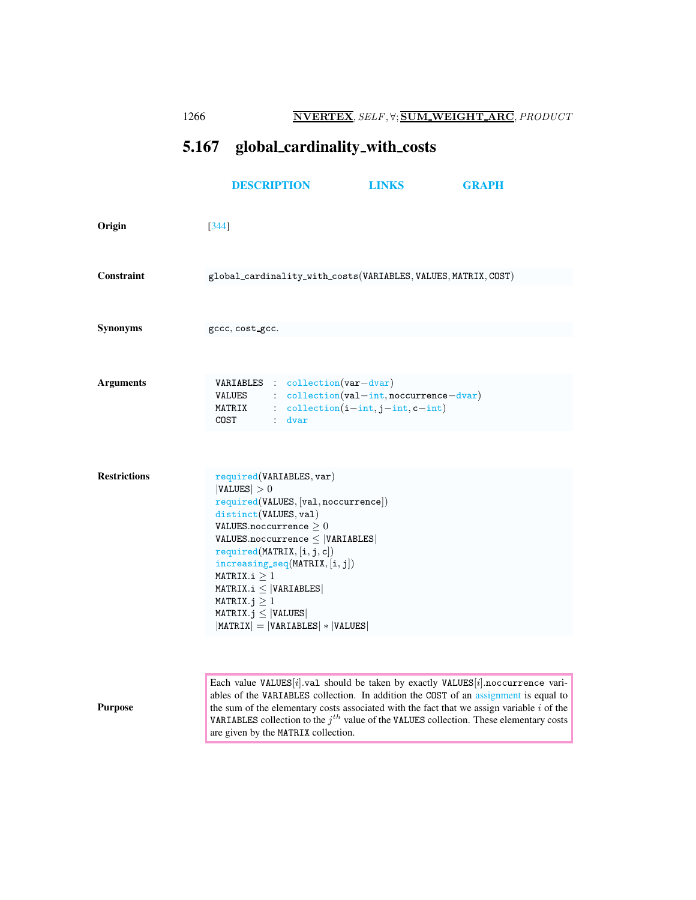<span id="page-0-0"></span>

|                     | 1266  |                                                                                                                                                                      | <b>NVERTEX, SELF, V; SUM WEIGHT ARC, PRODUCT</b>                                                                                                                                                                   |                                                                                                                                                  |                                                                                                                                                                                                                                                                                                                                                                       |  |  |
|---------------------|-------|----------------------------------------------------------------------------------------------------------------------------------------------------------------------|--------------------------------------------------------------------------------------------------------------------------------------------------------------------------------------------------------------------|--------------------------------------------------------------------------------------------------------------------------------------------------|-----------------------------------------------------------------------------------------------------------------------------------------------------------------------------------------------------------------------------------------------------------------------------------------------------------------------------------------------------------------------|--|--|
|                     | 5.167 |                                                                                                                                                                      | global_cardinality_with_costs                                                                                                                                                                                      |                                                                                                                                                  |                                                                                                                                                                                                                                                                                                                                                                       |  |  |
|                     |       | <b>DESCRIPTION</b>                                                                                                                                                   |                                                                                                                                                                                                                    | LINKS                                                                                                                                            | <b>GRAPH</b>                                                                                                                                                                                                                                                                                                                                                          |  |  |
| Origin              | [344] |                                                                                                                                                                      |                                                                                                                                                                                                                    |                                                                                                                                                  |                                                                                                                                                                                                                                                                                                                                                                       |  |  |
| Constraint          |       |                                                                                                                                                                      |                                                                                                                                                                                                                    | global_cardinality_with_costs(VARIABLES, VALUES, MATRIX, COST)                                                                                   |                                                                                                                                                                                                                                                                                                                                                                       |  |  |
| Synonyms            |       | gccc, cost_gcc.                                                                                                                                                      |                                                                                                                                                                                                                    |                                                                                                                                                  |                                                                                                                                                                                                                                                                                                                                                                       |  |  |
| <b>Arguments</b>    |       | COST                                                                                                                                                                 | $:$ dvar                                                                                                                                                                                                           | VARIABLES : collection(var-dvar)<br>$\verb VALUES : collection(val-int,nocurrence-dvar) \\$<br>MATRIX : $\text{collection}(i-int, j-int, c-int)$ |                                                                                                                                                                                                                                                                                                                                                                       |  |  |
| <b>Restrictions</b> |       | VALUES  > 0<br>distinct(VALUES, val)<br>VALUES.noccurrence $\geq 0$<br>MATRIX.i > 1<br>$MATRIX.i \leq  VARIABLES $<br>MATRIX. $j \geq 1$<br>$MATRIX.j \leq  VALUES $ | required(VARIABLES, var)<br>required(VALUES, [val,nocurrence])<br>$VALUES.noccurrence \leq  VARIABLES $<br>required(MATRIX, [i, j, c])<br>$increasing\_seq(MATRIX, [i, j])$<br>$ MATRIX  =  VARIABLES  *  VALUES $ |                                                                                                                                                  |                                                                                                                                                                                                                                                                                                                                                                       |  |  |
| <b>Purpose</b>      |       |                                                                                                                                                                      |                                                                                                                                                                                                                    |                                                                                                                                                  | Each value VALUES[i].val should be taken by exactly VALUES[i].noccurrence vari-<br>ables of the VARIABLES collection. In addition the COST of an assignment is equal to<br>the sum of the elementary costs associated with the fact that we assign variable $i$ of the<br>VARIABLES collection to the $j^{th}$ value of the VALUES collection. These elementary costs |  |  |

are given by the MATRIX collection.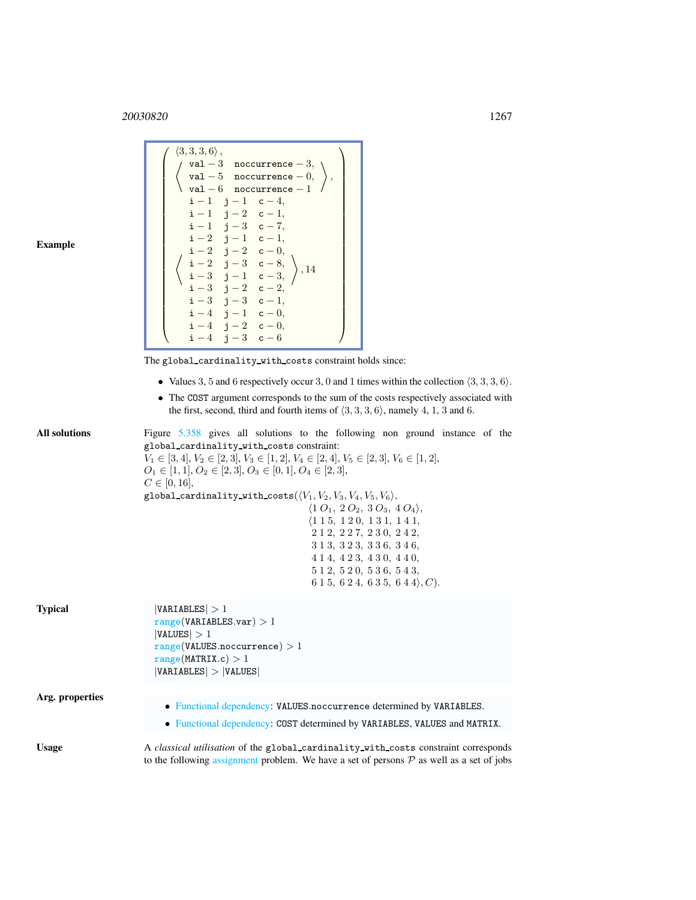<sup>20030820</sup> 1267

| <b>Example</b>       | $\langle 3,3,3,6\rangle$ ,<br>$\left\{\n\begin{array}{c}\n\langle 3,3,3,6\rangle,\\ \sqrt{val-3} & \text{nocurrence } -3,\\ \sqrt{val-5} & \text{nocurrence } -0,\\ \text{val } -6 & \text{nocurrence } -1\n\end{array}\n\right\},\n\left\{\n\begin{array}{c}\n\text{val } -5 & \text{nocurrence } -1,\\ \text{i } -1 & \text{j } -1 & \text{c } -4,\\ \text{i } -1 & \text{j } -2 & \text{c } -1,\\ \text{i } -1 & \text{j } -3 & \text{c } -7,\\ \text{i } -2 & \text{j } -1 & \text{c } -1$<br>$i-4$ $j-3$ $c-6$                                                                                                                                       |
|----------------------|-----------------------------------------------------------------------------------------------------------------------------------------------------------------------------------------------------------------------------------------------------------------------------------------------------------------------------------------------------------------------------------------------------------------------------------------------------------------------------------------------------------------------------------------------------------------------------------------------------------------------------------------------------------|
|                      | The global_cardinality_with_costs constraint holds since:<br>• Values 3, 5 and 6 respectively occur 3, 0 and 1 times within the collection $\langle 3, 3, 3, 6 \rangle$ .<br>• The COST argument corresponds to the sum of the costs respectively associated with<br>the first, second, third and fourth items of $(3,3,3,6)$ , namely 4, 1, 3 and 6.                                                                                                                                                                                                                                                                                                     |
| <b>All solutions</b> | Figure 5.358 gives all solutions to the following non ground instance of the<br>global_cardinality_with_costs constraint:<br>$V_1 \in [3, 4], V_2 \in [2, 3], V_3 \in [1, 2], V_4 \in [2, 4], V_5 \in [2, 3], V_6 \in [1, 2],$<br>$O_1 \in [1, 1], O_2 \in [2, 3], O_3 \in [0, 1], O_4 \in [2, 3],$<br>$C \in [0, 16],$<br>global_cardinality_with_costs( $\langle V_1, V_2, V_3, V_4, V_5, V_6 \rangle$ ,<br>$\langle 1 O_1, 2 O_2, 3 O_3, 4 O_4 \rangle,$<br>$\langle 1\ 1\ 5,\ 1\ 2\ 0,\ 1\ 3\ 1,\ 1\ 4\ 1,$<br>2 1 2, 2 2 7, 2 3 0, 2 4 2,<br>3 1 3, 3 2 3, 3 3 6, 3 4 6,<br>414, 423, 430, 440,<br>512, 520, 536, 543,<br>$615, 624, 635, 644$ , C). |
| <b>Typical</b>       | VARIABLES  > 1<br>range(VARIABLES.var) > 1<br> VALUES  > 1<br>range(VALUES.noccurrence) > 1<br>range(MATRIX.c) > 1<br> VARIABLES  >  VALUES                                                                                                                                                                                                                                                                                                                                                                                                                                                                                                               |
|                      |                                                                                                                                                                                                                                                                                                                                                                                                                                                                                                                                                                                                                                                           |
| Arg. properties      | • Functional dependency: VALUES.noccurrence determined by VARIABLES.<br>• Functional dependency: COST determined by VARIABLES, VALUES and MATRIX.                                                                                                                                                                                                                                                                                                                                                                                                                                                                                                         |
| <b>Usage</b>         | A classical utilisation of the global_cardinality_with_costs constraint corresponds<br>to the following assignment problem. We have a set of persons $P$ as well as a set of jobs                                                                                                                                                                                                                                                                                                                                                                                                                                                                         |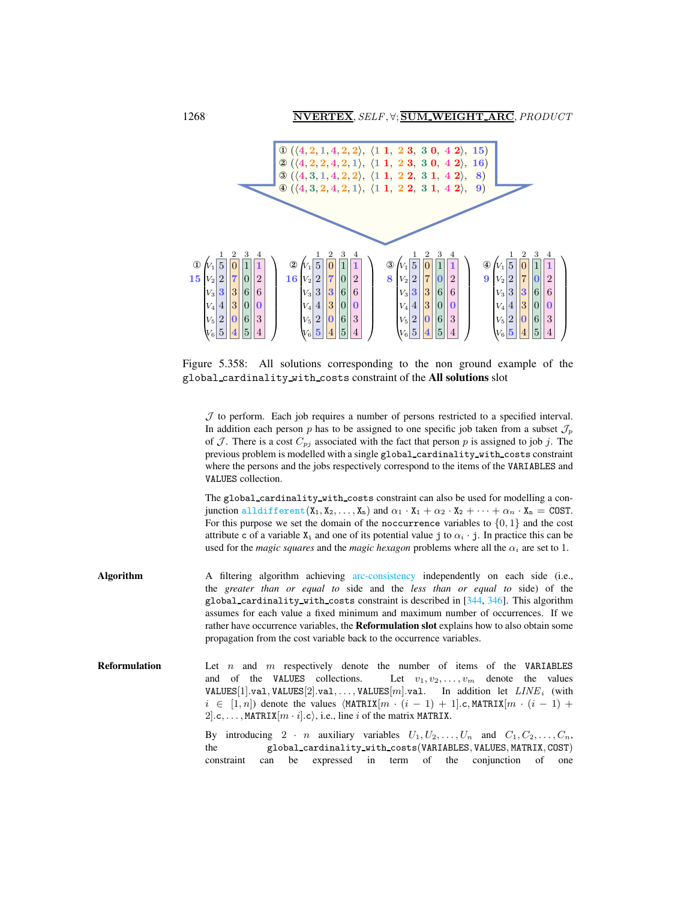1268 NVERTEX, SELF, ∀; SUM\_WEIGHT\_ARC, PRODUCT



Figure 5.358: All solutions corresponding to the non ground example of the global cardinality with costs constraint of the All solutions slot

<span id="page-2-0"></span> $J$  to perform. Each job requires a number of persons restricted to a specified interval. In addition each person p has to be assigned to one specific job taken from a subset  $\mathcal{J}_p$ of  $J$ . There is a cost  $C_{pj}$  associated with the fact that person p is assigned to job j. The previous problem is modelled with a single global cardinality with costs constraint where the persons and the jobs respectively correspond to the items of the VARIABLES and VALUES collection.

The global cardinality with costs constraint can also be used for modelling a conjunction alldifferent  $(X_1, X_2, ..., X_n)$  and  $\alpha_1 \cdot X_1 + \alpha_2 \cdot X_2 + \cdots + \alpha_n \cdot X_n = \text{COST.}$ For this purpose we set the domain of the noccurrence variables to  $\{0, 1\}$  and the cost attribute c of a variable  $X_i$  and one of its potential value j to  $\alpha_i \cdot j$ . In practice this can be used for the *magic squares* and the *magic hexagon* problems where all the  $\alpha_i$  are set to 1.

- Algorithm A filtering algorithm achieving arc-consistency independently on each side (i.e., the *greater than or equal to* side and the *less than or equal to* side) of the global cardinality with costs constraint is described in [344, 346]. This algorithm assumes for each value a fixed minimum and maximum number of occurrences. If we rather have occurrence variables, the Reformulation slot explains how to also obtain some propagation from the cost variable back to the occurrence variables.
- **Reformulation** Let n and m respectively denote the number of items of the VARIABLES and of the VALUES collections. Let  $v_1, v_2, \ldots, v_m$  denote the values VALUES[1].val, VALUES[2].val,..., VALUES[m].val. In addition let  $LINE_i$  (with  $i \in [1, n]$  denote the values  $\langle \text{MATRIX}[m \cdot (i-1) + 1] \cdot c, \text{MATRIX}[m \cdot (i-1) +$ 2..., MATRIX $[m \cdot i]$ .c), i.e., line i of the matrix MATRIX.

By introducing 2 · n auxiliary variables  $U_1, U_2, \ldots, U_n$  and  $C_1, C_2, \ldots, C_n$ , the global cardinality with costs(VARIABLES, VALUES, MATRIX, COST) constraint can be expressed in term of the conjunction of one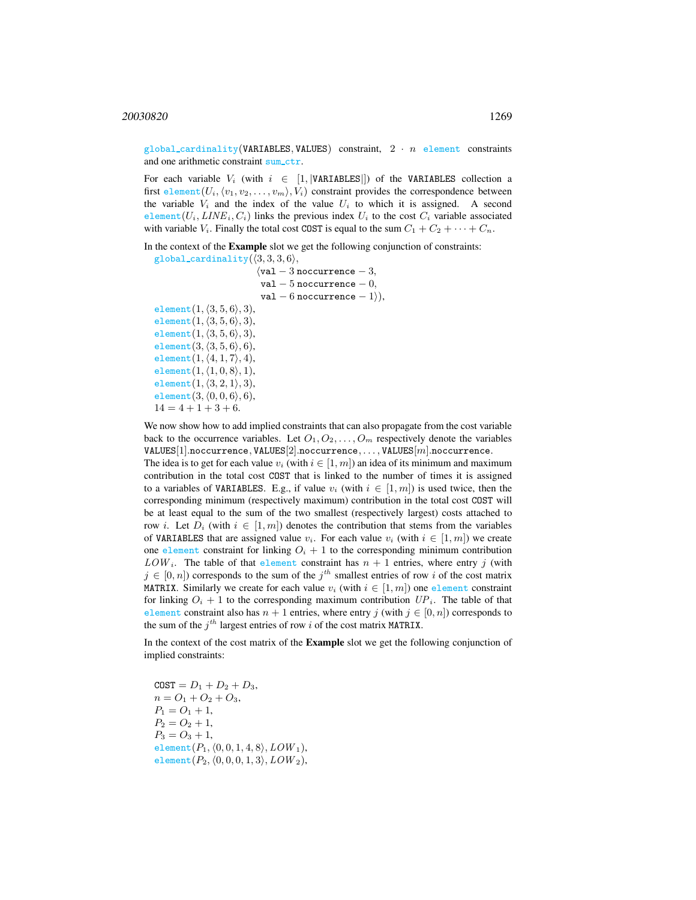global\_cardinality(VARIABLES, VALUES) constraint,  $2 \cdot n$  element constraints and one arithmetic constraint sum\_ctr.

For each variable  $V_i$  (with  $i \in [1, |\text{VARIABLES}|]$ ) of the VARIABLES collection a first element $(U_i, \langle v_1, v_2, \ldots, v_m \rangle, V_i)$  constraint provides the correspondence between the variable  $V_i$  and the index of the value  $U_i$  to which it is assigned. A second element( $U_i, \text{LINE}_i, C_i$ ) links the previous index  $U_i$  to the cost  $C_i$  variable associated with variable  $V_i$ . Finally the total cost COST is equal to the sum  $C_1 + C_2 + \cdots + C_n$ .

In the context of the Example slot we get the following conjunction of constraints:

```
global_cardinality(\langle 3, 3, 3, 6 \rangle,
                                 \sqrt{val - 3} noccurrence -3,
                                  val -5 noccurrence -0,
                                  val – 6 noccurrence – 1),element(1, \langle 3, 5, 6 \rangle, 3),
element(1, \langle 3, 5, 6 \rangle, 3),
element(1, \langle 3, 5, 6 \rangle, 3),
element(3, \langle 3, 5, 6 \rangle, 6),
element(1, \langle 4, 1, 7 \rangle, 4),element(1, \langle 1, 0, 8 \rangle, 1),element(1, \langle 3, 2, 1 \rangle, 3),
element(3, \langle 0, 0, 6 \rangle, 6),
14 = 4 + 1 + 3 + 6.
```
We now show how to add implied constraints that can also propagate from the cost variable back to the occurrence variables. Let  $O_1, O_2, \ldots, O_m$  respectively denote the variables  $VALUES[1].nocurrence, VALUES[2].nocurrence, ..., VALUES[m].nocurrence.$ The idea is to get for each value  $v_i$  (with  $i \in [1, m]$ ) an idea of its minimum and maximum contribution in the total cost COST that is linked to the number of times it is assigned to a variables of VARIABLES. E.g., if value  $v_i$  (with  $i \in [1, m]$ ) is used twice, then the corresponding minimum (respectively maximum) contribution in the total cost COST will be at least equal to the sum of the two smallest (respectively largest) costs attached to row i. Let  $D_i$  (with  $i \in [1, m]$ ) denotes the contribution that stems from the variables of VARIABLES that are assigned value  $v_i$ . For each value  $v_i$  (with  $i \in [1, m]$ ) we create one element constraint for linking  $O_i + 1$  to the corresponding minimum contribution  $LOW_i$ . The table of that element constraint has  $n + 1$  entries, where entry j (with  $j \in [0, n]$ ) corresponds to the sum of the  $j<sup>th</sup>$  smallest entries of row i of the cost matrix MATRIX. Similarly we create for each value  $v_i$  (with  $i \in [1, m]$ ) one element constraint for linking  $O_i + 1$  to the corresponding maximum contribution  $UP_i$ . The table of that element constraint also has  $n + 1$  entries, where entry j (with  $j \in [0, n]$ ) corresponds to the sum of the  $j<sup>th</sup>$  largest entries of row i of the cost matrix MATRIX.

In the context of the cost matrix of the Example slot we get the following conjunction of implied constraints:

 $COST = D_1 + D_2 + D_3,$  $n = O_1 + O_2 + O_3$ ,  $P_1 = O_1 + 1$ ,  $P_2 = O_2 + 1$ ,  $P_3 = O_3 + 1$ , element $(P_1, \langle 0, 0, 1, 4, 8 \rangle, LOW_1),$ element $(P_2, \langle 0, 0, 0, 1, 3 \rangle, LOW_2),$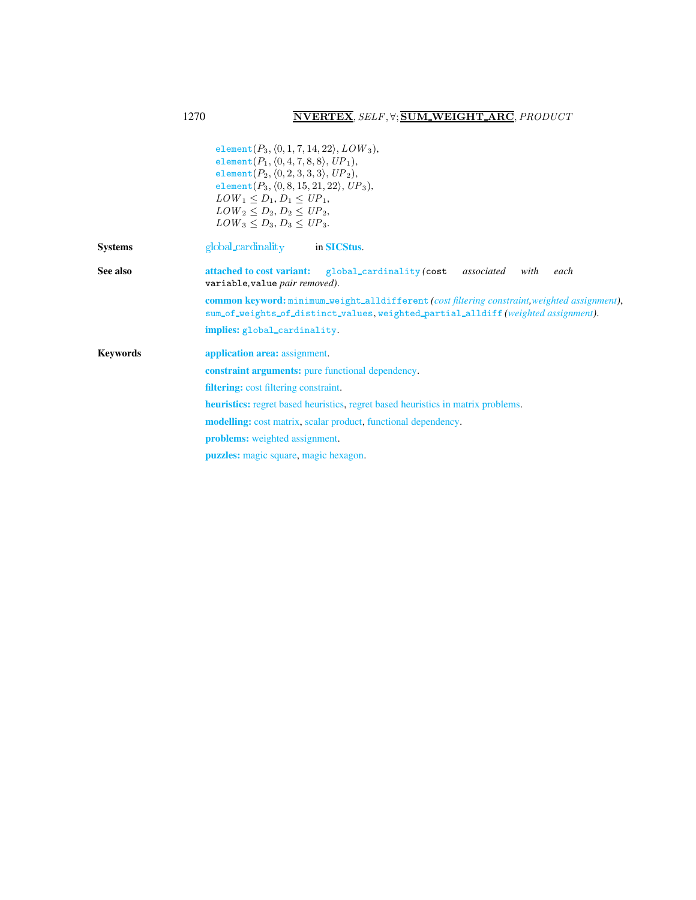<span id="page-4-0"></span>

|                 | element $(P_3, \langle 0, 1, 7, 14, 22 \rangle, LOW_3),$<br>element $(P_1, \langle 0, 4, 7, 8, 8 \rangle, UP_1),$<br>element $(P_2, \langle 0, 2, 3, 3, 3 \rangle, UP_2)$ ,<br>element $(P_3, (0, 8, 15, 21, 22), UP_3)$ ,<br>$LOW_1 < D_1, D_1 < UP_1$ ,<br>$LOW_2 < D_2, D_2 < UP_2$ ,<br>$LOW_3 < D_3, D_3 < UP_3.$ |  |  |  |  |  |  |
|-----------------|------------------------------------------------------------------------------------------------------------------------------------------------------------------------------------------------------------------------------------------------------------------------------------------------------------------------|--|--|--|--|--|--|
| <b>Systems</b>  | global_cardinality in <b>SICStus</b> .                                                                                                                                                                                                                                                                                 |  |  |  |  |  |  |
| See also        | attached to cost variant: global_cardinality (cost<br>associated<br>with<br>each<br>variable, value pair removed).                                                                                                                                                                                                     |  |  |  |  |  |  |
|                 | <b>common keyword:</b> minimum_weight_alldifferent (cost filtering constraint, weighted assignment),<br>sum_of_weights_of_distinct_values, weighted_partial_alldiff (weighted assignment).                                                                                                                             |  |  |  |  |  |  |
|                 | implies: global_cardinality.                                                                                                                                                                                                                                                                                           |  |  |  |  |  |  |
| <b>Keywords</b> | application area: assignment.                                                                                                                                                                                                                                                                                          |  |  |  |  |  |  |
|                 | <b>constraint arguments:</b> pure functional dependency.                                                                                                                                                                                                                                                               |  |  |  |  |  |  |
|                 | <b>filtering:</b> cost filtering constraint.                                                                                                                                                                                                                                                                           |  |  |  |  |  |  |
|                 | <b>heuristics:</b> regret based heuristics, regret based heuristics in matrix problems.                                                                                                                                                                                                                                |  |  |  |  |  |  |
|                 | <b>modelling:</b> cost matrix, scalar product, functional dependency.                                                                                                                                                                                                                                                  |  |  |  |  |  |  |
|                 | <b>problems:</b> weighted assignment.                                                                                                                                                                                                                                                                                  |  |  |  |  |  |  |
|                 | <b>puzzles:</b> magic square, magic hexagon.                                                                                                                                                                                                                                                                           |  |  |  |  |  |  |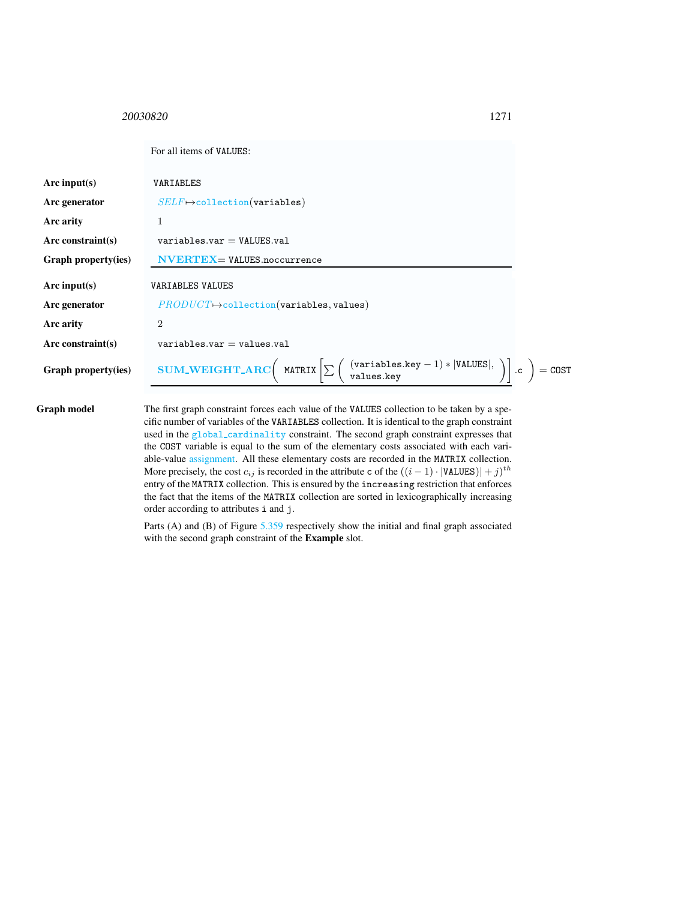<span id="page-5-0"></span><sup>20030820</sup> 1271

|                      | For all items of VALUES:                                                                                                                                                                          |  |
|----------------------|---------------------------------------------------------------------------------------------------------------------------------------------------------------------------------------------------|--|
| Arc input( $s$ )     | VARIABLES                                                                                                                                                                                         |  |
| Arc generator        | $SELF \mapsto$ collection(variables)                                                                                                                                                              |  |
| Arc arity            | 1                                                                                                                                                                                                 |  |
| Arc constraint $(s)$ | $variable s.var = VALUES.va1$                                                                                                                                                                     |  |
| Graph property(ies)  | $\mathbf{NVERTEX} =$ VALUES.noccurrence                                                                                                                                                           |  |
| Arc input( $s$ )     | <b>VARIABLES VALUES</b>                                                                                                                                                                           |  |
| Arc generator        | $PRODUCT \rightarrow collection(variables, values)$                                                                                                                                               |  |
| Arc arity            | $\overline{2}$                                                                                                                                                                                    |  |
| Arc constraint $(s)$ | $variable s.var = values.va1$                                                                                                                                                                     |  |
| Graph property(ies)  | <b>SUM_WEIGHT_ARC</b> $\left(\text{MATRIX} \left[\sum \left(\begin{array}{c} \text{(variables-key} - 1) *  \text{VALUES} , \\ \text{values-key} \end{array}\right)\right].c\right) = \text{COST}$ |  |
|                      |                                                                                                                                                                                                   |  |

Graph model The first graph constraint forces each value of the VALUES collection to be taken by a specific number of variables of the VARIABLES collection. It is identical to the graph constraint used in the global cardinality constraint. The second graph constraint expresses that the COST variable is equal to the sum of the elementary costs associated with each variable-value assignment. All these elementary costs are recorded in the MATRIX collection. More precisely, the cost  $c_{ij}$  is recorded in the attribute c of the  $((i - 1) \cdot |\text{VALUES})| + j)^{th}$ entry of the MATRIX collection. This is ensured by the increasing restriction that enforces the fact that the items of the MATRIX collection are sorted in lexicographically increasing order according to attributes i and j.

> Parts (A) and (B) of Figure [5.359](#page-6-0) respectively show the initial and final graph associated with the second graph constraint of the Example slot.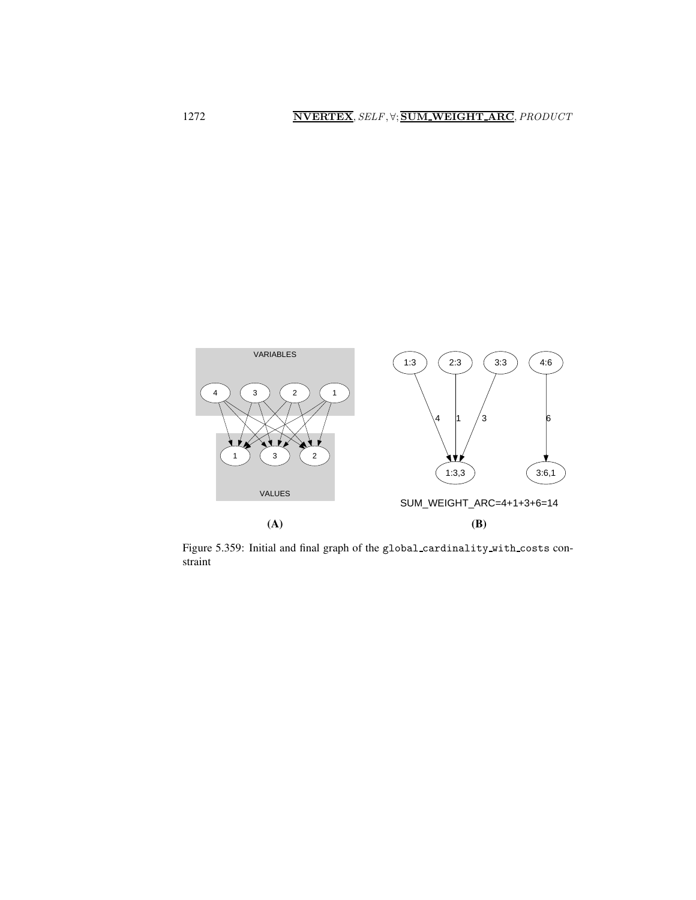

<span id="page-6-0"></span>Figure 5.359: Initial and final graph of the global cardinality with costs constraint